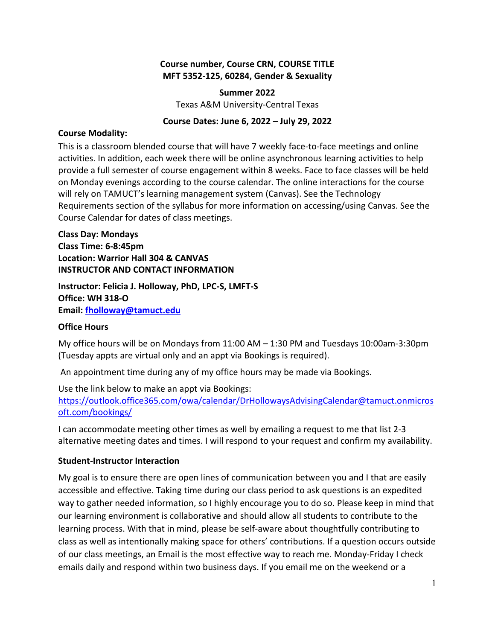#### **Course number, Course CRN, COURSE TITLE MFT 5352-125, 60284, Gender & Sexuality**

#### **Summer 2022**

Texas A&M University-Central Texas

#### **Course Dates: June 6, 2022 – July 29, 2022**

#### **Course Modality:**

This is a classroom blended course that will have 7 weekly face-to-face meetings and online activities. In addition, each week there will be online asynchronous learning activities to help provide a full semester of course engagement within 8 weeks. Face to face classes will be held on Monday evenings according to the course calendar. The online interactions for the course will rely on TAMUCT's learning management system (Canvas). See the Technology Requirements section of the syllabus for more information on accessing/using Canvas. See the Course Calendar for dates of class meetings.

## **Class Day: Mondays Class Time: 6-8:45pm Location: Warrior Hall 304 & CANVAS INSTRUCTOR AND CONTACT INFORMATION**

**Instructor: Felicia J. Holloway, PhD, LPC-S, LMFT-S Office: WH 318-O Email: [fholloway@tamuct.edu](mailto:fholloway@tamuct.edu)**

#### **Office Hours**

My office hours will be on Mondays from 11:00 AM – 1:30 PM and Tuesdays 10:00am-3:30pm (Tuesday appts are virtual only and an appt via Bookings is required).

An appointment time during any of my office hours may be made via Bookings.

Use the link below to make an appt via Bookings: [https://outlook.office365.com/owa/calendar/DrHollowaysAdvisingCalendar@tamuct.onmicros](https://outlook.office365.com/owa/calendar/DrHollowaysAdvisingCalendar@tamuct.onmicrosoft.com/bookings/) [oft.com/bookings/](https://outlook.office365.com/owa/calendar/DrHollowaysAdvisingCalendar@tamuct.onmicrosoft.com/bookings/) 

I can accommodate meeting other times as well by emailing a request to me that list 2-3 alternative meeting dates and times. I will respond to your request and confirm my availability.

#### **Student-Instructor Interaction**

My goal is to ensure there are open lines of communication between you and I that are easily accessible and effective. Taking time during our class period to ask questions is an expedited way to gather needed information, so I highly encourage you to do so. Please keep in mind that our learning environment is collaborative and should allow all students to contribute to the learning process. With that in mind, please be self-aware about thoughtfully contributing to class as well as intentionally making space for others' contributions. If a question occurs outside of our class meetings, an Email is the most effective way to reach me. Monday-Friday I check emails daily and respond within two business days. If you email me on the weekend or a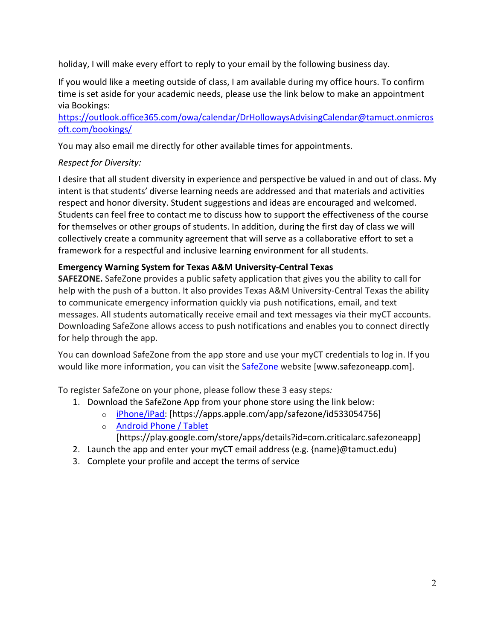holiday, I will make every effort to reply to your email by the following business day.

If you would like a meeting outside of class, I am available during my office hours. To confirm time is set aside for your academic needs, please use the link below to make an appointment via Bookings:

[https://outlook.office365.com/owa/calendar/DrHollowaysAdvisingCalendar@tamuct.onmicros](https://outlook.office365.com/owa/calendar/DrHollowaysAdvisingCalendar@tamuct.onmicrosoft.com/bookings/) [oft.com/bookings/](https://outlook.office365.com/owa/calendar/DrHollowaysAdvisingCalendar@tamuct.onmicrosoft.com/bookings/) 

You may also email me directly for other available times for appointments.

# *Respect for Diversity:*

I desire that all student diversity in experience and perspective be valued in and out of class. My intent is that students' diverse learning needs are addressed and that materials and activities respect and honor diversity. Student suggestions and ideas are encouraged and welcomed. Students can feel free to contact me to discuss how to support the effectiveness of the course for themselves or other groups of students. In addition, during the first day of class we will collectively create a community agreement that will serve as a collaborative effort to set a framework for a respectful and inclusive learning environment for all students.

## **Emergency Warning System for Texas A&M University-Central Texas**

**SAFEZONE.** SafeZone provides a public safety application that gives you the ability to call for help with the push of a button. It also provides Texas A&M University-Central Texas the ability to communicate emergency information quickly via push notifications, email, and text messages. All students automatically receive email and text messages via their myCT accounts. Downloading SafeZone allows access to push notifications and enables you to connect directly for help through the app.

You can download SafeZone from the app store and use your myCT credentials to log in. If you would like more information, you can visit the [SafeZone](http://www.safezoneapp.com/) website [www.safezoneapp.com].

To register SafeZone on your phone, please follow these 3 easy steps*:* 

- 1. Download the SafeZone App from your phone store using the link below:
	- o [iPhone/iPad:](https://apps.apple.com/app/safezone/id533054756) [https://apps.apple.com/app/safezone/id533054756]
	- o [Android Phone / Tablet](https://play.google.com/store/apps/details?id=com.criticalarc.safezoneapp)
		- [https://play.google.com/store/apps/details?id=com.criticalarc.safezoneapp]
- 2. Launch the app and enter your myCT email address (e.g. {name}@tamuct.edu)
- 3. Complete your profile and accept the terms of service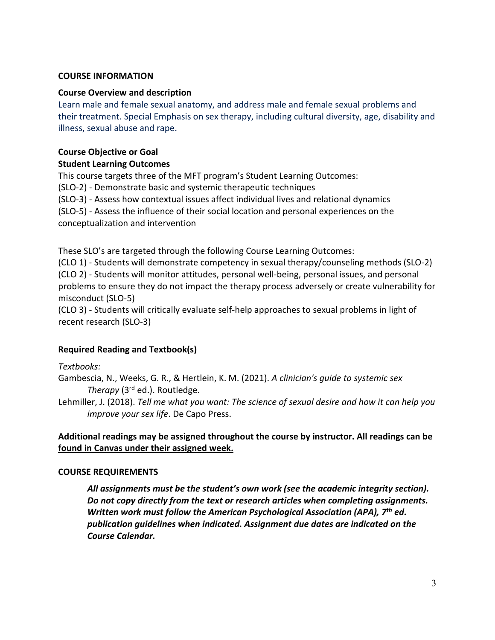#### **COURSE INFORMATION**

#### **Course Overview and description**

Learn male and female sexual anatomy, and address male and female sexual problems and their treatment. Special Emphasis on sex therapy, including cultural diversity, age, disability and illness, sexual abuse and rape.

#### **Course Objective or Goal**

#### **Student Learning Outcomes**

This course targets three of the MFT program's Student Learning Outcomes:

(SLO-2) - Demonstrate basic and systemic therapeutic techniques

(SLO-3) - Assess how contextual issues affect individual lives and relational dynamics

(SLO-5) - Assess the influence of their social location and personal experiences on the conceptualization and intervention

These SLO's are targeted through the following Course Learning Outcomes:

(CLO 1) - Students will demonstrate competency in sexual therapy/counseling methods (SLO-2) (CLO 2) - Students will monitor attitudes, personal well-being, personal issues, and personal problems to ensure they do not impact the therapy process adversely or create vulnerability for misconduct (SLO-5)

(CLO 3) - Students will critically evaluate self-help approaches to sexual problems in light of recent research (SLO-3)

## **Required Reading and Textbook(s)**

#### *Textbooks:*

Gambescia, N., Weeks, G. R., & Hertlein, K. M. (2021). *A clinician's guide to systemic sex Therapy* (3rd ed.). Routledge.

Lehmiller, J. (2018). *Tell me what you want: The science of sexual desire and how it can help you improve your sex life*. De Capo Press.

## **Additional readings may be assigned throughout the course by instructor. All readings can be found in Canvas under their assigned week.**

#### **COURSE REQUIREMENTS**

*All assignments must be the student's own work (see the academic integrity section). Do not copy directly from the text or research articles when completing assignments. Written work must follow the American Psychological Association (APA), 7th ed. publication guidelines when indicated. Assignment due dates are indicated on the Course Calendar.*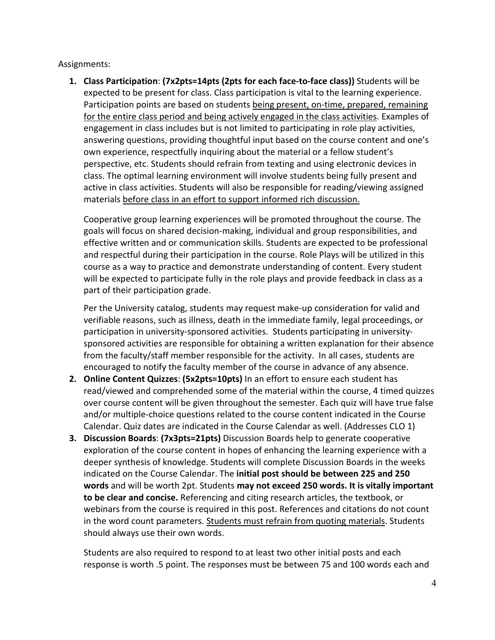Assignments:

**1. Class Participation**: **(7x2pts=14pts (2pts for each face-to-face class))** Students will be expected to be present for class. Class participation is vital to the learning experience. Participation points are based on students being present, on-time, prepared, remaining for the entire class period and being actively engaged in the class activities. Examples of engagement in class includes but is not limited to participating in role play activities, answering questions, providing thoughtful input based on the course content and one's own experience, respectfully inquiring about the material or a fellow student's perspective, etc. Students should refrain from texting and using electronic devices in class. The optimal learning environment will involve students being fully present and active in class activities. Students will also be responsible for reading/viewing assigned materials before class in an effort to support informed rich discussion.

Cooperative group learning experiences will be promoted throughout the course. The goals will focus on shared decision-making, individual and group responsibilities, and effective written and or communication skills. Students are expected to be professional and respectful during their participation in the course. Role Plays will be utilized in this course as a way to practice and demonstrate understanding of content. Every student will be expected to participate fully in the role plays and provide feedback in class as a part of their participation grade.

Per the University catalog, students may request make-up consideration for valid and verifiable reasons, such as illness, death in the immediate family, legal proceedings, or participation in university-sponsored activities. Students participating in universitysponsored activities are responsible for obtaining a written explanation for their absence from the faculty/staff member responsible for the activity. In all cases, students are encouraged to notify the faculty member of the course in advance of any absence.

- **2. Online Content Quizzes**: **(5x2pts=10pts)** In an effort to ensure each student has read/viewed and comprehended some of the material within the course, 4 timed quizzes over course content will be given throughout the semester. Each quiz will have true false and/or multiple-choice questions related to the course content indicated in the Course Calendar. Quiz dates are indicated in the Course Calendar as well. (Addresses CLO 1)
- **3. Discussion Boards**: **(7x3pts=21pts)** Discussion Boards help to generate cooperative exploration of the course content in hopes of enhancing the learning experience with a deeper synthesis of knowledge. Students will complete Discussion Boards in the weeks indicated on the Course Calendar. The **initial post should be between 225 and 250 words** and will be worth 2pt. Students **may not exceed 250 words. It is vitally important to be clear and concise.** Referencing and citing research articles, the textbook, or webinars from the course is required in this post. References and citations do not count in the word count parameters. Students must refrain from quoting materials. Students should always use their own words.

Students are also required to respond to at least two other initial posts and each response is worth .5 point. The responses must be between 75 and 100 words each and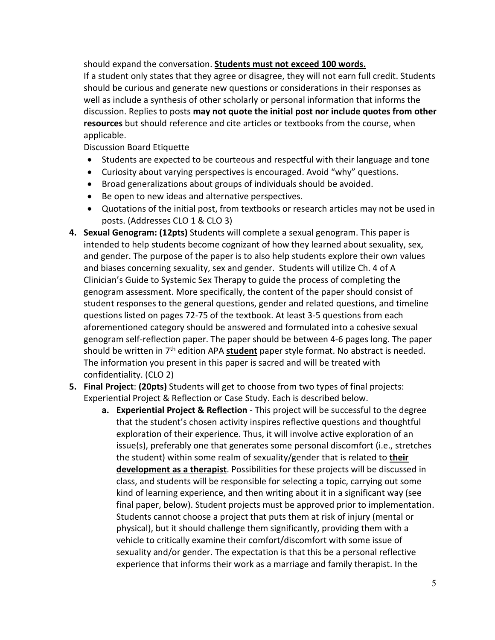should expand the conversation. **Students must not exceed 100 words.**

If a student only states that they agree or disagree, they will not earn full credit. Students should be curious and generate new questions or considerations in their responses as well as include a synthesis of other scholarly or personal information that informs the discussion. Replies to posts **may not quote the initial post nor include quotes from other resources** but should reference and cite articles or textbooks from the course, when applicable.

Discussion Board Etiquette

- Students are expected to be courteous and respectful with their language and tone
- Curiosity about varying perspectives is encouraged. Avoid "why" questions.
- Broad generalizations about groups of individuals should be avoided.
- Be open to new ideas and alternative perspectives.
- Quotations of the initial post, from textbooks or research articles may not be used in posts. (Addresses CLO 1 & CLO 3)
- **4. Sexual Genogram: (12pts)** Students will complete a sexual genogram. This paper is intended to help students become cognizant of how they learned about sexuality, sex, and gender. The purpose of the paper is to also help students explore their own values and biases concerning sexuality, sex and gender. Students will utilize Ch. 4 of A Clinician's Guide to Systemic Sex Therapy to guide the process of completing the genogram assessment. More specifically, the content of the paper should consist of student responses to the general questions, gender and related questions, and timeline questions listed on pages 72-75 of the textbook. At least 3-5 questions from each aforementioned category should be answered and formulated into a cohesive sexual genogram self-reflection paper. The paper should be between 4-6 pages long. The paper should be written in 7<sup>th</sup> edition APA **student** paper style format. No abstract is needed. The information you present in this paper is sacred and will be treated with confidentiality. (CLO 2)
- **5. Final Project**: **(20pts)** Students will get to choose from two types of final projects: Experiential Project & Reflection or Case Study. Each is described below.
	- **a. Experiential Project & Reflection**  This project will be successful to the degree that the student's chosen activity inspires reflective questions and thoughtful exploration of their experience. Thus, it will involve active exploration of an issue(s), preferably one that generates some personal discomfort (i.e., stretches the student) within some realm of sexuality/gender that is related to **their development as a therapist**. Possibilities for these projects will be discussed in class, and students will be responsible for selecting a topic, carrying out some kind of learning experience, and then writing about it in a significant way (see final paper, below). Student projects must be approved prior to implementation. Students cannot choose a project that puts them at risk of injury (mental or physical), but it should challenge them significantly, providing them with a vehicle to critically examine their comfort/discomfort with some issue of sexuality and/or gender. The expectation is that this be a personal reflective experience that informs their work as a marriage and family therapist. In the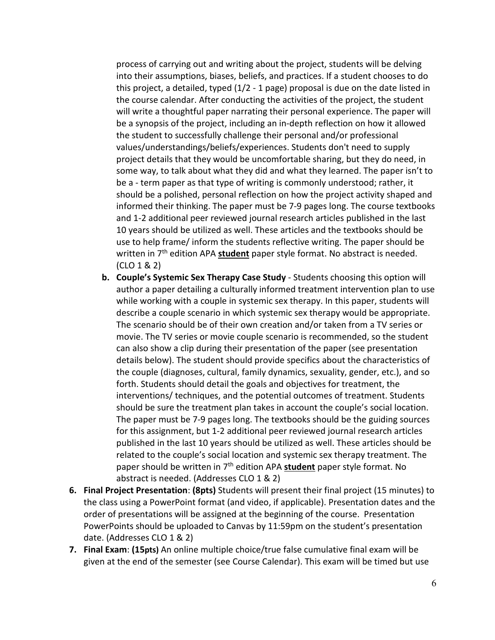process of carrying out and writing about the project, students will be delving into their assumptions, biases, beliefs, and practices. If a student chooses to do this project, a detailed, typed (1/2 - 1 page) proposal is due on the date listed in the course calendar. After conducting the activities of the project, the student will write a thoughtful paper narrating their personal experience. The paper will be a synopsis of the project, including an in-depth reflection on how it allowed the student to successfully challenge their personal and/or professional values/understandings/beliefs/experiences. Students don't need to supply project details that they would be uncomfortable sharing, but they do need, in some way, to talk about what they did and what they learned. The paper isn't to be a - term paper as that type of writing is commonly understood; rather, it should be a polished, personal reflection on how the project activity shaped and informed their thinking. The paper must be 7-9 pages long. The course textbooks and 1-2 additional peer reviewed journal research articles published in the last 10 years should be utilized as well. These articles and the textbooks should be use to help frame/ inform the students reflective writing. The paper should be written in 7th edition APA **student** paper style format. No abstract is needed. (CLO 1 & 2)

- **b. Couple's Systemic Sex Therapy Case Study** Students choosing this option will author a paper detailing a culturally informed treatment intervention plan to use while working with a couple in systemic sex therapy. In this paper, students will describe a couple scenario in which systemic sex therapy would be appropriate. The scenario should be of their own creation and/or taken from a TV series or movie. The TV series or movie couple scenario is recommended, so the student can also show a clip during their presentation of the paper (see presentation details below). The student should provide specifics about the characteristics of the couple (diagnoses, cultural, family dynamics, sexuality, gender, etc.), and so forth. Students should detail the goals and objectives for treatment, the interventions/ techniques, and the potential outcomes of treatment. Students should be sure the treatment plan takes in account the couple's social location. The paper must be 7-9 pages long. The textbooks should be the guiding sources for this assignment, but 1-2 additional peer reviewed journal research articles published in the last 10 years should be utilized as well. These articles should be related to the couple's social location and systemic sex therapy treatment. The paper should be written in 7th edition APA **student** paper style format. No abstract is needed. (Addresses CLO 1 & 2)
- **6. Final Project Presentation**: **(8pts)** Students will present their final project (15 minutes) to the class using a PowerPoint format (and video, if applicable). Presentation dates and the order of presentations will be assigned at the beginning of the course. Presentation PowerPoints should be uploaded to Canvas by 11:59pm on the student's presentation date. (Addresses CLO 1 & 2)
- **7. Final Exam**: **(15pts)** An online multiple choice/true false cumulative final exam will be given at the end of the semester (see Course Calendar). This exam will be timed but use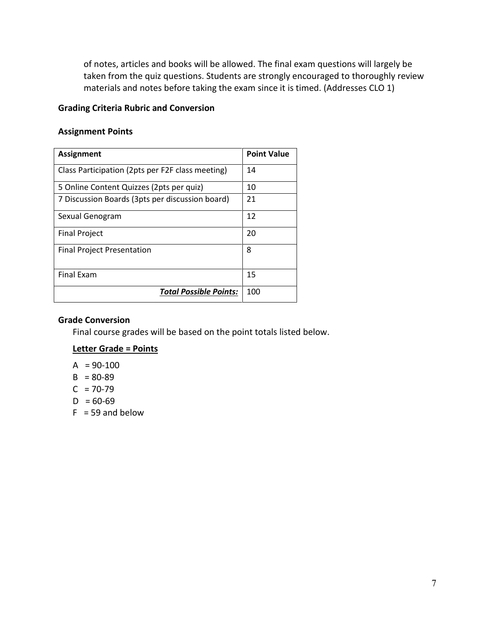of notes, articles and books will be allowed. The final exam questions will largely be taken from the quiz questions. Students are strongly encouraged to thoroughly review materials and notes before taking the exam since it is timed. (Addresses CLO 1)

## **Grading Criteria Rubric and Conversion**

#### **Assignment Points**

| Assignment                                       | <b>Point Value</b> |
|--------------------------------------------------|--------------------|
| Class Participation (2pts per F2F class meeting) | 14                 |
| 5 Online Content Quizzes (2pts per quiz)         | 10                 |
| 7 Discussion Boards (3pts per discussion board)  | 21                 |
| Sexual Genogram                                  | 12                 |
| <b>Final Project</b>                             | 20                 |
| <b>Final Project Presentation</b>                | 8                  |
| <b>Final Exam</b>                                | 15                 |
| <b>Total Possible Points:</b>                    | 100                |

#### **Grade Conversion**

Final course grades will be based on the point totals listed below.

#### **Letter Grade = Points**

- $A = 90-100$
- $B = 80-89$
- $C = 70-79$
- $D = 60-69$
- $F = 59$  and below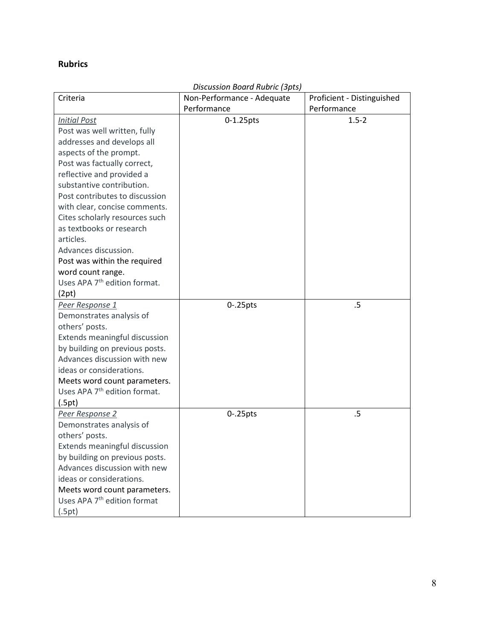# **Rubrics**

|                                          | Discussion Board Rubric (3pts) |                            |
|------------------------------------------|--------------------------------|----------------------------|
| Criteria                                 | Non-Performance - Adequate     | Proficient - Distinguished |
|                                          | Performance                    | Performance                |
| <b>Initial Post</b>                      | 0-1.25pts                      | $1.5 - 2$                  |
| Post was well written, fully             |                                |                            |
| addresses and develops all               |                                |                            |
| aspects of the prompt.                   |                                |                            |
| Post was factually correct,              |                                |                            |
| reflective and provided a                |                                |                            |
| substantive contribution.                |                                |                            |
| Post contributes to discussion           |                                |                            |
| with clear, concise comments.            |                                |                            |
| Cites scholarly resources such           |                                |                            |
| as textbooks or research                 |                                |                            |
| articles.                                |                                |                            |
| Advances discussion.                     |                                |                            |
| Post was within the required             |                                |                            |
| word count range.                        |                                |                            |
| Uses APA 7 <sup>th</sup> edition format. |                                |                            |
| (2pt)                                    |                                |                            |
| Peer Response 1                          | $0 - 25$ pts                   | .5                         |
| Demonstrates analysis of                 |                                |                            |
| others' posts.                           |                                |                            |
| Extends meaningful discussion            |                                |                            |
| by building on previous posts.           |                                |                            |
| Advances discussion with new             |                                |                            |
| ideas or considerations.                 |                                |                            |
| Meets word count parameters.             |                                |                            |
| Uses APA 7 <sup>th</sup> edition format. |                                |                            |
| (.5pt)                                   |                                |                            |
| Peer Response 2                          | $0 - 25$ pts                   | .5                         |
| Demonstrates analysis of                 |                                |                            |
| others' posts.                           |                                |                            |
| Extends meaningful discussion            |                                |                            |
| by building on previous posts.           |                                |                            |
| Advances discussion with new             |                                |                            |
| ideas or considerations.                 |                                |                            |
| Meets word count parameters.             |                                |                            |
| Uses APA 7 <sup>th</sup> edition format  |                                |                            |
| (.5pt)                                   |                                |                            |

# *Discussion Board Rubric (3pts)*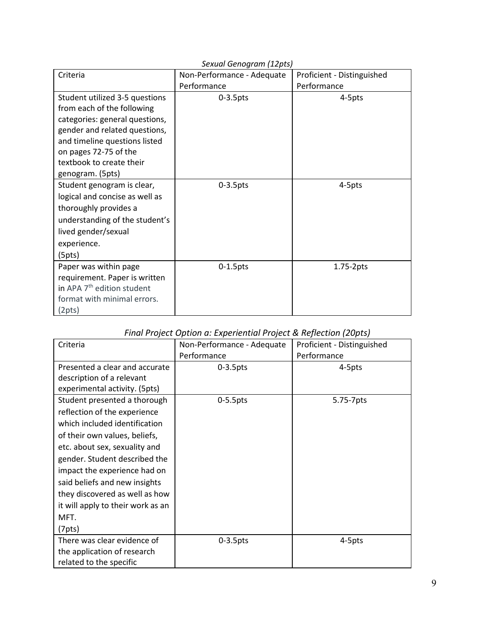| sexual Genogram (12pts)                |                            |                            |  |
|----------------------------------------|----------------------------|----------------------------|--|
| Criteria                               | Non-Performance - Adequate | Proficient - Distinguished |  |
|                                        | Performance                | Performance                |  |
| Student utilized 3-5 questions         | $0-3.5$ pts                | 4-5pts                     |  |
| from each of the following             |                            |                            |  |
| categories: general questions,         |                            |                            |  |
| gender and related questions,          |                            |                            |  |
| and timeline questions listed          |                            |                            |  |
| on pages 72-75 of the                  |                            |                            |  |
| textbook to create their               |                            |                            |  |
| genogram. (5pts)                       |                            |                            |  |
| Student genogram is clear,             | $0-3.5$ pts                | 4-5pts                     |  |
| logical and concise as well as         |                            |                            |  |
| thoroughly provides a                  |                            |                            |  |
| understanding of the student's         |                            |                            |  |
| lived gender/sexual                    |                            |                            |  |
| experience.                            |                            |                            |  |
| (5pts)                                 |                            |                            |  |
| Paper was within page                  | $0-1.5$ pts                | $1.75-2pts$                |  |
| requirement. Paper is written          |                            |                            |  |
| in APA 7 <sup>th</sup> edition student |                            |                            |  |
| format with minimal errors.            |                            |                            |  |
| (2pts)                                 |                            |                            |  |

# *Final Project Option a: Experiential Project & Reflection (20pts)*

| Criteria                                                            | Non-Performance - Adequate<br>Performance | Proficient - Distinguished<br>Performance |
|---------------------------------------------------------------------|-------------------------------------------|-------------------------------------------|
| Presented a clear and accurate                                      | $0-3.5$ pts                               | 4-5pts                                    |
| description of a relevant<br>experimental activity. (5pts)          |                                           |                                           |
| Student presented a thorough                                        | $0-5.5$ pts                               | 5.75-7pts                                 |
| reflection of the experience                                        |                                           |                                           |
| which included identification                                       |                                           |                                           |
| of their own values, beliefs,                                       |                                           |                                           |
| etc. about sex, sexuality and                                       |                                           |                                           |
| gender. Student described the                                       |                                           |                                           |
| impact the experience had on                                        |                                           |                                           |
| said beliefs and new insights                                       |                                           |                                           |
| they discovered as well as how<br>it will apply to their work as an |                                           |                                           |
| MFT.                                                                |                                           |                                           |
| (7pts)                                                              |                                           |                                           |
| There was clear evidence of                                         | $0-3.5$ pts                               | 4-5pts                                    |
| the application of research                                         |                                           |                                           |
| related to the specific                                             |                                           |                                           |

# *Sexual Genogram (12pts)*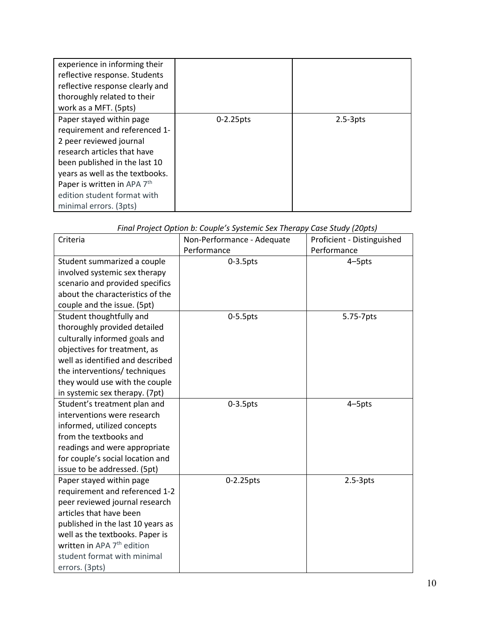| experience in informing their<br>reflective response. Students<br>reflective response clearly and<br>thoroughly related to their<br>work as a MFT. (5pts)                                                                                                                       |              |              |
|---------------------------------------------------------------------------------------------------------------------------------------------------------------------------------------------------------------------------------------------------------------------------------|--------------|--------------|
| Paper stayed within page<br>requirement and referenced 1-<br>2 peer reviewed journal<br>research articles that have<br>been published in the last 10<br>years as well as the textbooks.<br>Paper is written in APA 7th<br>edition student format with<br>minimal errors. (3pts) | $0-2.25$ pts | $2.5 - 3pts$ |

|  | Final Project Option b: Couple's Systemic Sex Therapy Case Study (20pts) |  |
|--|--------------------------------------------------------------------------|--|
|  |                                                                          |  |

| Criteria                               | Non-Performance - Adequate | Proficient - Distinguished |
|----------------------------------------|----------------------------|----------------------------|
|                                        | Performance                | Performance                |
| Student summarized a couple            | $0-3.5$ pts                | 4-5pts                     |
| involved systemic sex therapy          |                            |                            |
| scenario and provided specifics        |                            |                            |
| about the characteristics of the       |                            |                            |
| couple and the issue. (5pt)            |                            |                            |
| Student thoughtfully and               | $0-5.5$ pts                | 5.75-7pts                  |
| thoroughly provided detailed           |                            |                            |
| culturally informed goals and          |                            |                            |
| objectives for treatment, as           |                            |                            |
| well as identified and described       |                            |                            |
| the interventions/ techniques          |                            |                            |
| they would use with the couple         |                            |                            |
| in systemic sex therapy. (7pt)         |                            |                            |
| Student's treatment plan and           | $0-3.5$ pts                | 4-5pts                     |
| interventions were research            |                            |                            |
| informed, utilized concepts            |                            |                            |
| from the textbooks and                 |                            |                            |
| readings and were appropriate          |                            |                            |
| for couple's social location and       |                            |                            |
| issue to be addressed. (5pt)           |                            |                            |
| Paper stayed within page               | 0-2.25pts                  | $2.5-3pts$                 |
| requirement and referenced 1-2         |                            |                            |
| peer reviewed journal research         |                            |                            |
| articles that have been                |                            |                            |
| published in the last 10 years as      |                            |                            |
| well as the textbooks. Paper is        |                            |                            |
| written in APA 7 <sup>th</sup> edition |                            |                            |
| student format with minimal            |                            |                            |
| errors. (3pts)                         |                            |                            |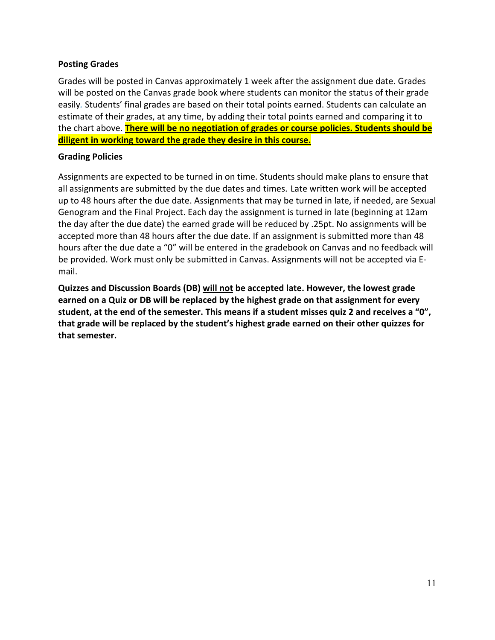#### **Posting Grades**

Grades will be posted in Canvas approximately 1 week after the assignment due date. Grades will be posted on the Canvas grade book where students can monitor the status of their grade easily*.* Students' final grades are based on their total points earned. Students can calculate an estimate of their grades, at any time, by adding their total points earned and comparing it to the chart above. **There will be no negotiation of grades or course policies. Students should be diligent in working toward the grade they desire in this course.**

#### **Grading Policies**

Assignments are expected to be turned in on time. Students should make plans to ensure that all assignments are submitted by the due dates and times. Late written work will be accepted up to 48 hours after the due date. Assignments that may be turned in late, if needed, are Sexual Genogram and the Final Project. Each day the assignment is turned in late (beginning at 12am the day after the due date) the earned grade will be reduced by .25pt. No assignments will be accepted more than 48 hours after the due date. If an assignment is submitted more than 48 hours after the due date a "0" will be entered in the gradebook on Canvas and no feedback will be provided. Work must only be submitted in Canvas. Assignments will not be accepted via Email.

**Quizzes and Discussion Boards (DB) will not be accepted late. However, the lowest grade earned on a Quiz or DB will be replaced by the highest grade on that assignment for every student, at the end of the semester. This means if a student misses quiz 2 and receives a "0", that grade will be replaced by the student's highest grade earned on their other quizzes for that semester.**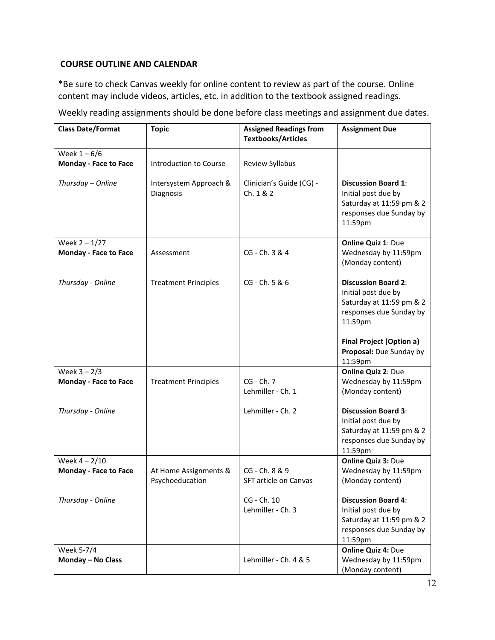## **COURSE OUTLINE AND CALENDAR**

\*Be sure to check Canvas weekly for online content to review as part of the course. Online content may include videos, articles, etc. in addition to the textbook assigned readings.

Weekly reading assignments should be done before class meetings and assignment due dates.

| <b>Class Date/Format</b>        | <b>Topic</b>                             | <b>Assigned Readings from</b><br><b>Textbooks/Articles</b> | <b>Assignment Due</b>                                                                                               |
|---------------------------------|------------------------------------------|------------------------------------------------------------|---------------------------------------------------------------------------------------------------------------------|
| Week $1-6/6$                    |                                          |                                                            |                                                                                                                     |
| <b>Monday - Face to Face</b>    | Introduction to Course                   | Review Syllabus                                            |                                                                                                                     |
| Thursday - Online               | Intersystem Approach &<br>Diagnosis      | Clinician's Guide (CG) -<br>Ch. 1 & 2                      | <b>Discussion Board 1:</b><br>Initial post due by<br>Saturday at 11:59 pm & 2<br>responses due Sunday by<br>11:59pm |
| Week $2 - 1/27$                 |                                          |                                                            | Online Quiz 1: Due                                                                                                  |
| <b>Monday - Face to Face</b>    | Assessment                               | CG - Ch. 3 & 4                                             | Wednesday by 11:59pm<br>(Monday content)                                                                            |
| Thursday - Online               | <b>Treatment Principles</b>              | CG - Ch. 5 & 6                                             | <b>Discussion Board 2:</b><br>Initial post due by<br>Saturday at 11:59 pm & 2<br>responses due Sunday by<br>11:59pm |
|                                 |                                          |                                                            | <b>Final Project (Option a)</b><br>Proposal: Due Sunday by<br>11:59pm                                               |
| Week $3 - 2/3$                  |                                          |                                                            | <b>Online Quiz 2: Due</b>                                                                                           |
| Monday - Face to Face           | <b>Treatment Principles</b>              | CG - Ch. 7                                                 | Wednesday by 11:59pm                                                                                                |
|                                 |                                          | Lehmiller - Ch. 1                                          | (Monday content)                                                                                                    |
| Thursday - Online               |                                          | Lehmiller - Ch. 2                                          | <b>Discussion Board 3:</b><br>Initial post due by<br>Saturday at 11:59 pm & 2<br>responses due Sunday by<br>11:59pm |
| Week $4 - 2/10$                 |                                          |                                                            | <b>Online Quiz 3: Due</b>                                                                                           |
| <b>Monday - Face to Face</b>    | At Home Assignments &<br>Psychoeducation | CG - Ch. 8 & 9<br>SFT article on Canvas                    | Wednesday by 11:59pm<br>(Monday content)                                                                            |
| Thursday - Online               |                                          | CG - Ch. 10<br>Lehmiller - Ch. 3                           | <b>Discussion Board 4:</b><br>Initial post due by<br>Saturday at 11:59 pm & 2<br>responses due Sunday by<br>11:59pm |
| Week 5-7/4<br>Monday - No Class |                                          | Lehmiller - Ch. 4 & 5                                      | <b>Online Quiz 4: Due</b><br>Wednesday by 11:59pm<br>(Monday content)                                               |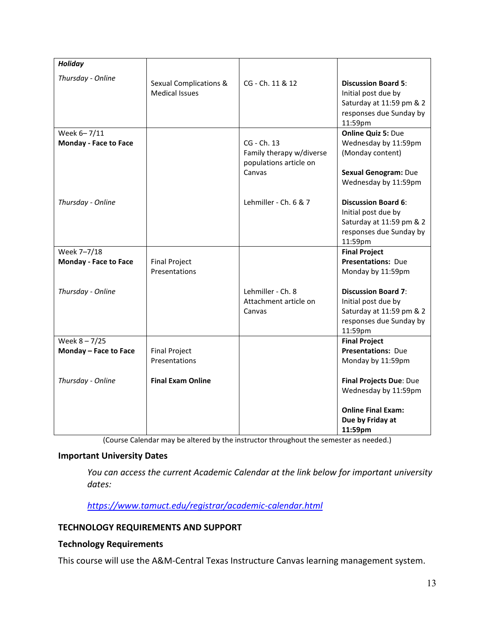| <b>Holiday</b>               |                                                            |                                                                   |                                                                                                                     |
|------------------------------|------------------------------------------------------------|-------------------------------------------------------------------|---------------------------------------------------------------------------------------------------------------------|
| Thursday - Online            | <b>Sexual Complications &amp;</b><br><b>Medical Issues</b> | CG - Ch. 11 & 12                                                  | <b>Discussion Board 5:</b><br>Initial post due by<br>Saturday at 11:59 pm & 2<br>responses due Sunday by<br>11:59pm |
| Week 6-7/11                  |                                                            |                                                                   | <b>Online Quiz 5: Due</b>                                                                                           |
| <b>Monday - Face to Face</b> |                                                            | CG - Ch. 13<br>Family therapy w/diverse<br>populations article on | Wednesday by 11:59pm<br>(Monday content)                                                                            |
|                              |                                                            | Canvas                                                            | <b>Sexual Genogram: Due</b><br>Wednesday by 11:59pm                                                                 |
| Thursday - Online            |                                                            | Lehmiller - Ch. 6 & 7                                             | <b>Discussion Board 6:</b><br>Initial post due by<br>Saturday at 11:59 pm & 2<br>responses due Sunday by<br>11:59pm |
| Week 7-7/18                  |                                                            |                                                                   | <b>Final Project</b>                                                                                                |
| <b>Monday - Face to Face</b> | <b>Final Project</b>                                       |                                                                   | <b>Presentations: Due</b>                                                                                           |
|                              | Presentations                                              |                                                                   | Monday by 11:59pm                                                                                                   |
| Thursday - Online            |                                                            | Lehmiller - Ch. 8<br>Attachment article on<br>Canvas              | <b>Discussion Board 7:</b><br>Initial post due by<br>Saturday at 11:59 pm & 2<br>responses due Sunday by<br>11:59pm |
| Week $8 - 7/25$              |                                                            |                                                                   | <b>Final Project</b>                                                                                                |
| Monday - Face to Face        | <b>Final Project</b>                                       |                                                                   | <b>Presentations: Due</b>                                                                                           |
|                              | Presentations                                              |                                                                   | Monday by 11:59pm                                                                                                   |
| Thursday - Online            | <b>Final Exam Online</b>                                   |                                                                   | Final Projects Due: Due<br>Wednesday by 11:59pm                                                                     |
|                              |                                                            |                                                                   | <b>Online Final Exam:</b>                                                                                           |
|                              |                                                            |                                                                   | Due by Friday at                                                                                                    |
|                              |                                                            |                                                                   | 11:59pm                                                                                                             |

(Course Calendar may be altered by the instructor throughout the semester as needed.)

# **Important University Dates**

*You can access the current Academic Calendar at the link below for important university dates:*

*<https://www.tamuct.edu/registrar/academic-calendar.html>*

## **TECHNOLOGY REQUIREMENTS AND SUPPORT**

## **Technology Requirements**

This course will use the A&M-Central Texas Instructure Canvas learning management system.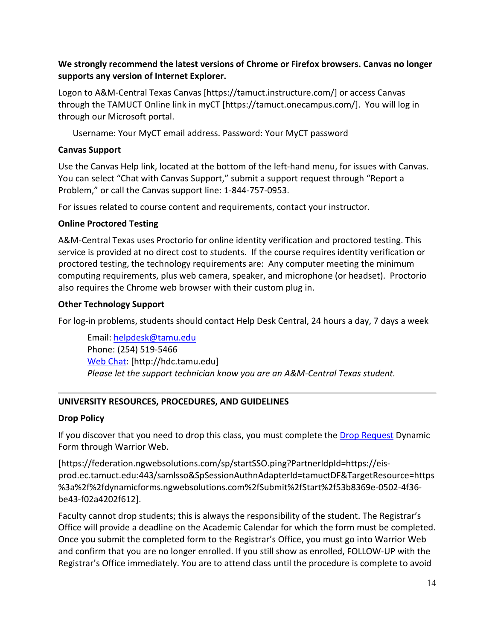## **We strongly recommend the latest versions of Chrome or Firefox browsers. Canvas no longer supports any version of Internet Explorer.**

Logon to A&M-Central Texas Canvas [https://tamuct.instructure.com/] or access Canvas through the TAMUCT Online link in myCT [https://tamuct.onecampus.com/]. You will log in through our Microsoft portal.

Username: Your MyCT email address. Password: Your MyCT password

## **Canvas Support**

Use the Canvas Help link, located at the bottom of the left-hand menu, for issues with Canvas. You can select "Chat with Canvas Support," submit a support request through "Report a Problem," or call the Canvas support line: 1-844-757-0953.

For issues related to course content and requirements, contact your instructor.

#### **Online Proctored Testing**

A&M-Central Texas uses Proctorio for online identity verification and proctored testing. This service is provided at no direct cost to students. If the course requires identity verification or proctored testing, the technology requirements are: Any computer meeting the minimum computing requirements, plus web camera, speaker, and microphone (or headset). Proctorio also requires the Chrome web browser with their custom plug in.

#### **Other Technology Support**

For log-in problems, students should contact Help Desk Central, 24 hours a day, 7 days a week

Email: [helpdesk@tamu.edu](mailto:helpdesk@tamu.edu) Phone: (254) 519-5466 [Web Chat:](http://hdc.tamu.edu/) [http://hdc.tamu.edu] *Please let the support technician know you are an A&M-Central Texas student.*

## **UNIVERSITY RESOURCES, PROCEDURES, AND GUIDELINES**

#### **Drop Policy**

If you discover that you need to drop this class, you must complete the [Drop Request](https://federation.ngwebsolutions.com/sp/startSSO.ping?PartnerIdpId=https://eis-prod.ec.tamuct.edu:443/samlsso&SpSessionAuthnAdapterId=tamuctDF&TargetResource=https%3a%2f%2fdynamicforms.ngwebsolutions.com%2fSubmit%2fStart%2f53b8369e-0502-4f36-be43-f02a4202f612) Dynamic Form through Warrior Web.

[https://federation.ngwebsolutions.com/sp/startSSO.ping?PartnerIdpId=https://eisprod.ec.tamuct.edu:443/samlsso&SpSessionAuthnAdapterId=tamuctDF&TargetResource=https %3a%2f%2fdynamicforms.ngwebsolutions.com%2fSubmit%2fStart%2f53b8369e-0502-4f36 be43-f02a4202f612].

Faculty cannot drop students; this is always the responsibility of the student. The Registrar's Office will provide a deadline on the Academic Calendar for which the form must be completed. Once you submit the completed form to the Registrar's Office, you must go into Warrior Web and confirm that you are no longer enrolled. If you still show as enrolled, FOLLOW-UP with the Registrar's Office immediately. You are to attend class until the procedure is complete to avoid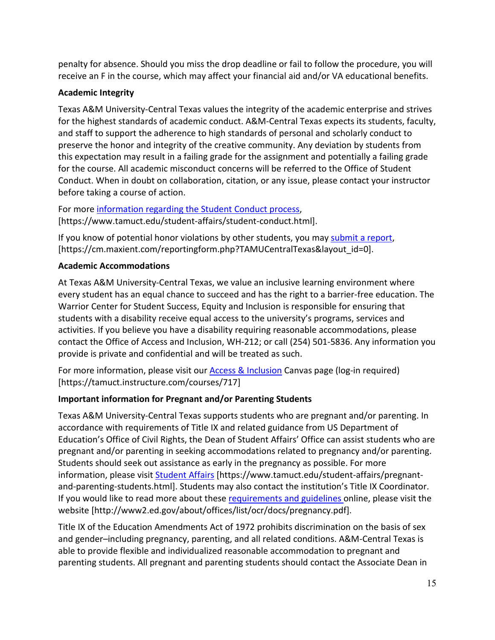penalty for absence. Should you miss the drop deadline or fail to follow the procedure, you will receive an F in the course, which may affect your financial aid and/or VA educational benefits.

# **Academic Integrity**

Texas A&M University-Central Texas values the integrity of the academic enterprise and strives for the highest standards of academic conduct. A&M-Central Texas expects its students, faculty, and staff to support the adherence to high standards of personal and scholarly conduct to preserve the honor and integrity of the creative community. Any deviation by students from this expectation may result in a failing grade for the assignment and potentially a failing grade for the course. All academic misconduct concerns will be referred to the Office of Student Conduct. When in doubt on collaboration, citation, or any issue, please contact your instructor before taking a course of action.

For more [information](https://nam04.safelinks.protection.outlook.com/?url=https%3A%2F%2Fwww.tamuct.edu%2Fstudent-affairs%2Fstudent-conduct.html&data=04%7C01%7Clisa.bunkowski%40tamuct.edu%7Ccfb6e486f24745f53e1a08d910055cb2%7C9eed4e3000f744849ff193ad8005acec%7C0%7C0%7C637558437485252160%7CUnknown%7CTWFpbGZsb3d8eyJWIjoiMC4wLjAwMDAiLCJQIjoiV2luMzIiLCJBTiI6Ik1haWwiLCJXVCI6Mn0%3D%7C1000&sdata=yjftDEVHvLX%2FhM%2FcFU0B99krV1RgEWR%2BJ%2BhvtoR6TYk%3D&reserved=0) regarding the Student Conduct process, [https://www.tamuct.edu/student-affairs/student-conduct.html].

If you know of potential honor violations by other students, you may [submit a report,](https://nam04.safelinks.protection.outlook.com/?url=https%3A%2F%2Fcm.maxient.com%2Freportingform.php%3FTAMUCentralTexas%26layout_id%3D0&data=04%7C01%7Clisa.bunkowski%40tamuct.edu%7Ccfb6e486f24745f53e1a08d910055cb2%7C9eed4e3000f744849ff193ad8005acec%7C0%7C0%7C637558437485262157%7CUnknown%7CTWFpbGZsb3d8eyJWIjoiMC4wLjAwMDAiLCJQIjoiV2luMzIiLCJBTiI6Ik1haWwiLCJXVCI6Mn0%3D%7C1000&sdata=CXGkOa6uPDPX1IMZ87z3aZDq2n91xfHKu4MMS43Ejjk%3D&reserved=0) [https://cm.maxient.com/reportingform.php?TAMUCentralTexas&layout\_id=0].

# **Academic Accommodations**

At Texas A&M University-Central Texas, we value an inclusive learning environment where every student has an equal chance to succeed and has the right to a barrier-free education. The Warrior Center for Student Success, Equity and Inclusion is responsible for ensuring that students with a disability receive equal access to the university's programs, services and activities. If you believe you have a disability requiring reasonable accommodations, please contact the Office of Access and Inclusion, WH-212; or call (254) 501-5836. Any information you provide is private and confidential and will be treated as such.

For more information, please visit our [Access & Inclusion](https://tamuct.instructure.com/courses/717) Canvas page (log-in required) [https://tamuct.instructure.com/courses/717]

# **Important information for Pregnant and/or Parenting Students**

Texas A&M University-Central Texas supports students who are pregnant and/or parenting. In accordance with requirements of Title IX and related guidance from US Department of Education's Office of Civil Rights, the Dean of Student Affairs' Office can assist students who are pregnant and/or parenting in seeking accommodations related to pregnancy and/or parenting. Students should seek out assistance as early in the pregnancy as possible. For more information, please visit [Student Affairs](https://www.tamuct.edu/student-affairs/pregnant-and-parenting-students.html) [https://www.tamuct.edu/student-affairs/pregnantand-parenting-students.html]. Students may also contact the institution's Title IX Coordinator. If you would like to read more about thes[e requirements and guidelines](http://www2.ed.gov/about/offices/list/ocr/docs/pregnancy.pdf) online, please visit the website [http://www2.ed.gov/about/offices/list/ocr/docs/pregnancy.pdf].

Title IX of the Education Amendments Act of 1972 prohibits discrimination on the basis of sex and gender–including pregnancy, parenting, and all related conditions. A&M-Central Texas is able to provide flexible and individualized reasonable accommodation to pregnant and parenting students. All pregnant and parenting students should contact the Associate Dean in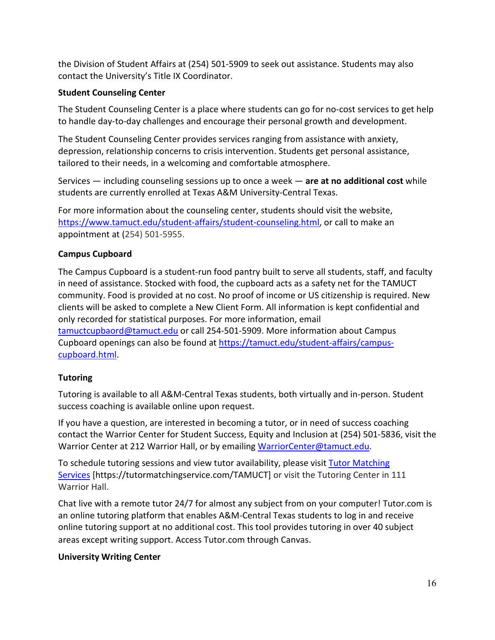the Division of Student Affairs at (254) 501-5909 to seek out assistance. Students may also contact the University's Title IX Coordinator.

# **Student Counseling Center**

The Student Counseling Center is a place where students can go for no-cost services to get help to handle day-to-day challenges and encourage their personal growth and development.

The Student Counseling Center provides services ranging from assistance with anxiety, depression, relationship concerns to crisis intervention. Students get personal assistance, tailored to their needs, in a welcoming and comfortable atmosphere.

Services — including counseling sessions up to once a week — **are at no additional cost** while students are currently enrolled at Texas A&M University-Central Texas.

For more information about the counseling center, students should visit the website, [https://www.tamuct.edu/student-affairs/student-counseling.html,](https://www.tamuct.edu/student-affairs/student-counseling.html) or call to make an appointment at (254) 501-5955.

# **Campus Cupboard**

The Campus Cupboard is a student-run food pantry built to serve all students, staff, and faculty in need of assistance. Stocked with food, the cupboard acts as a safety net for the TAMUCT community. Food is provided at no cost. No proof of income or US citizenship is required. New clients will be asked to complete a New Client Form. All information is kept confidential and only recorded for statistical purposes. For more information, email [tamuctcupbaord@tamuct.edu](mailto:tamuctcupbaord@tamuct.edu) or call 254-501-5909. More information about Campus Cupboard openings can also be found at [https://tamuct.edu/student-affairs/campus](https://tamuct.edu/student-affairs/campus-cupboard.html)[cupboard.html.](https://tamuct.edu/student-affairs/campus-cupboard.html)

# **Tutoring**

Tutoring is available to all A&M-Central Texas students, both virtually and in-person. Student success coaching is available online upon request.

If you have a question, are interested in becoming a tutor, or in need of success coaching contact the Warrior Center for Student Success, Equity and Inclusion at (254) 501-5836, visit the Warrior Center at 212 Warrior Hall, or by emailing [WarriorCenter@tamuct.edu.](mailto:WarriorCenter@tamuct.edu)

To schedule tutoring sessions and view tutor availability, please visit Tutor [Matching](https://tutormatchingservice.com/TAMUCT) [Services](https://tutormatchingservice.com/TAMUCT) [https://tutormatchingservice.com/TAMUCT] or visit the Tutoring Center in 111 Warrior Hall.

Chat live with a remote tutor 24/7 for almost any subject from on your computer! Tutor.com is an online tutoring platform that enables A&M-Central Texas students to log in and receive online tutoring support at no additional cost. This tool provides tutoring in over 40 subject areas except writing support. Access Tutor.com through Canvas.

# **University Writing Center**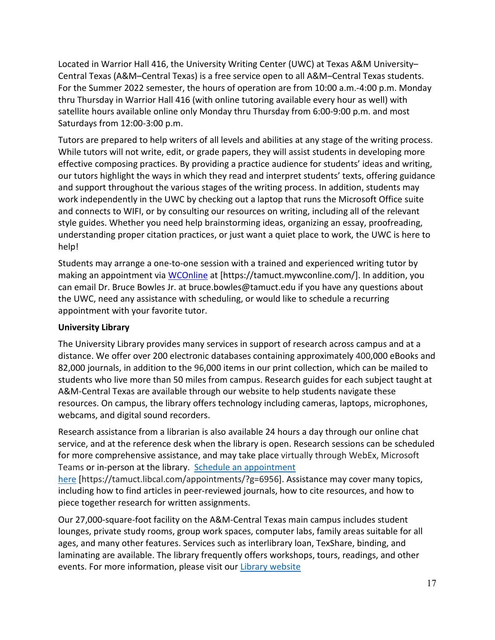Located in Warrior Hall 416, the University Writing Center (UWC) at Texas A&M University– Central Texas (A&M–Central Texas) is a free service open to all A&M–Central Texas students. For the Summer 2022 semester, the hours of operation are from 10:00 a.m.-4:00 p.m. Monday thru Thursday in Warrior Hall 416 (with online tutoring available every hour as well) with satellite hours available online only Monday thru Thursday from 6:00-9:00 p.m. and most Saturdays from 12:00-3:00 p.m.

Tutors are prepared to help writers of all levels and abilities at any stage of the writing process. While tutors will not write, edit, or grade papers, they will assist students in developing more effective composing practices. By providing a practice audience for students' ideas and writing, our tutors highlight the ways in which they read and interpret students' texts, offering guidance and support throughout the various stages of the writing process. In addition, students may work independently in the UWC by checking out a laptop that runs the Microsoft Office suite and connects to WIFI, or by consulting our resources on writing, including all of the relevant style guides. Whether you need help brainstorming ideas, organizing an essay, proofreading, understanding proper citation practices, or just want a quiet place to work, the UWC is here to help!

Students may arrange a one-to-one session with a trained and experienced writing tutor by making an appointment via [WCOnline](https://tamuct.mywconline.com/) at [https://tamuct.mywconline.com/]. In addition, you can email Dr. Bruce Bowles Jr. at bruce.bowles@tamuct.edu if you have any questions about the UWC, need any assistance with scheduling, or would like to schedule a recurring appointment with your favorite tutor.

## **University Library**

The University Library provides many services in support of research across campus and at a distance. We offer over 200 electronic databases containing approximately 400,000 eBooks and 82,000 journals, in addition to the 96,000 items in our print collection, which can be mailed to students who live more than 50 miles from campus. Research guides for each subject taught at A&M-Central Texas are available through our website to help students navigate these resources. On campus, the library offers technology including cameras, laptops, microphones, webcams, and digital sound recorders.

Research assistance from a librarian is also available 24 hours a day through our online chat service, and at the reference desk when the library is open. Research sessions can be scheduled for more comprehensive assistance, and may take place virtually through WebEx, Microsoft Teams or in-person at the library. Schedule an [appointment](https://nam04.safelinks.protection.outlook.com/?url=https%3A%2F%2Ftamuct.libcal.com%2Fappointments%2F%3Fg%3D6956&data=04%7C01%7Clisa.bunkowski%40tamuct.edu%7Cde2c07d9f5804f09518008d9ab7ba6ff%7C9eed4e3000f744849ff193ad8005acec%7C0%7C0%7C637729369835011558%7CUnknown%7CTWFpbGZsb3d8eyJWIjoiMC4wLjAwMDAiLCJQIjoiV2luMzIiLCJBTiI6Ik1haWwiLCJXVCI6Mn0%3D%7C3000&sdata=KhtjgRSAw9aq%2FoBsB6wyu8b7PSuGN5EGPypzr3Ty2No%3D&reserved=0)

[here](https://nam04.safelinks.protection.outlook.com/?url=https%3A%2F%2Ftamuct.libcal.com%2Fappointments%2F%3Fg%3D6956&data=04%7C01%7Clisa.bunkowski%40tamuct.edu%7Cde2c07d9f5804f09518008d9ab7ba6ff%7C9eed4e3000f744849ff193ad8005acec%7C0%7C0%7C637729369835011558%7CUnknown%7CTWFpbGZsb3d8eyJWIjoiMC4wLjAwMDAiLCJQIjoiV2luMzIiLCJBTiI6Ik1haWwiLCJXVCI6Mn0%3D%7C3000&sdata=KhtjgRSAw9aq%2FoBsB6wyu8b7PSuGN5EGPypzr3Ty2No%3D&reserved=0) [https://tamuct.libcal.com/appointments/?g=6956]. Assistance may cover many topics, including how to find articles in peer-reviewed journals, how to cite resources, and how to piece together research for written assignments.

Our 27,000-square-foot facility on the A&M-Central Texas main campus includes student lounges, private study rooms, group work spaces, computer labs, family areas suitable for all ages, and many other features. Services such as interlibrary loan, TexShare, binding, and laminating are available. The library frequently offers workshops, tours, readings, and other events. For more information, please visit our Library [website](https://nam04.safelinks.protection.outlook.com/?url=https%3A%2F%2Ftamuct.libguides.com%2Findex&data=04%7C01%7Clisa.bunkowski%40tamuct.edu%7C7d8489e8839a4915335f08d916f067f2%7C9eed4e3000f744849ff193ad8005acec%7C0%7C0%7C637566044056484222%7CUnknown%7CTWFpbGZsb3d8eyJWIjoiMC4wLjAwMDAiLCJQIjoiV2luMzIiLCJBTiI6Ik1haWwiLCJXVCI6Mn0%3D%7C1000&sdata=2R755V6rcIyedGrd4Os5rkgn1PvhHKU3kUV1vBKiHFo%3D&reserved=0)